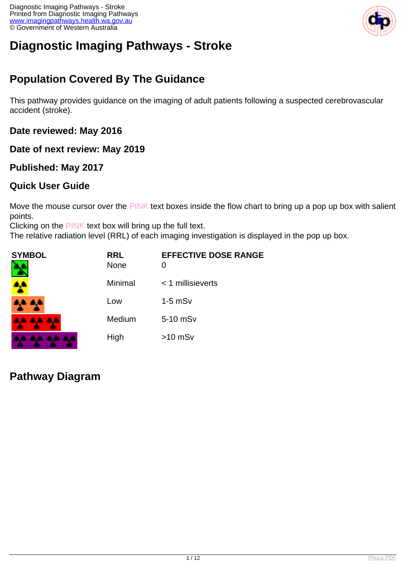

# **Diagnostic Imaging Pathways - Stroke**

# **Population Covered By The Guidance**

This pathway provides guidance on the imaging of adult patients following a suspected cerebrovascular accident (stroke).

**Date reviewed: May 2016**

**Date of next review: May 2019**

## **Published: May 2017**

## **Quick User Guide**

Move the mouse cursor over the PINK text boxes inside the flow chart to bring up a pop up box with salient points.

Clicking on the PINK text box will bring up the full text.

The relative radiation level (RRL) of each imaging investigation is displayed in the pop up box.

| SYMBOL   | <b>RRL</b><br><b>None</b> | <b>EFFECTIVE DOSE RANGE</b> |
|----------|---------------------------|-----------------------------|
| 4        | Minimal                   | $<$ 1 millisieverts         |
| 4,4 4,4  | Low                       | $1-5$ mSv                   |
| AA AA AA | Medium                    | 5-10 mSv                    |
|          | High                      | $>10$ mSv                   |

**Pathway Diagram**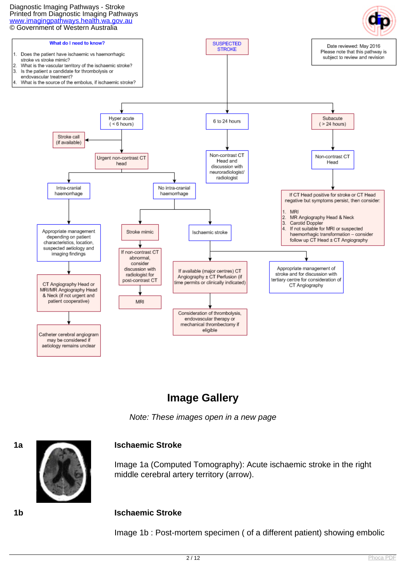#### Diagnostic Imaging Pathways - Stroke Printed from Diagnostic Imaging Pathways [www.imagingpathways.health.wa.gov.au](http://www.imagingpathways.health.wa.gov.au/) © Government of Western Australia



# **Image Gallery**

Note: These images open in a new page



Image 1a (Computed Tomography): Acute ischaemic stroke in the right middle cerebral artery territory (arrow).

#### **1b Ischaemic Stroke**

Image 1b : Post-mortem specimen ( of a different patient) showing embolic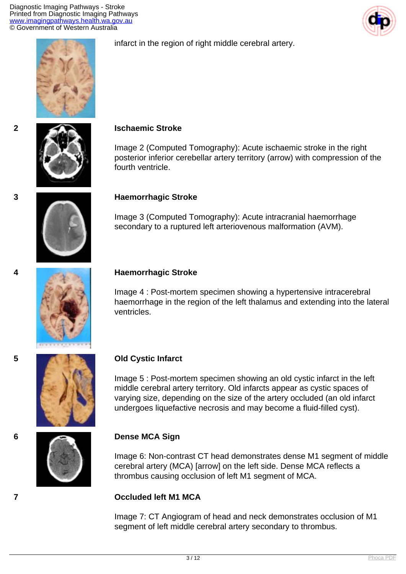Diagnostic Imaging Pathways - Stroke Printed from Diagnostic Imaging Pathways [www.imagingpathways.health.wa.gov.au](http://www.imagingpathways.health.wa.gov.au/) © Government of Western Australia









#### **2 Ischaemic Stroke**

Image 2 (Computed Tomography): Acute ischaemic stroke in the right posterior inferior cerebellar artery territory (arrow) with compression of the fourth ventricle.

#### **3 Haemorrhagic Stroke**

Image 3 (Computed Tomography): Acute intracranial haemorrhage secondary to a ruptured left arteriovenous malformation (AVM).



#### **4 Haemorrhagic Stroke**

Image 4 : Post-mortem specimen showing a hypertensive intracerebral haemorrhage in the region of the left thalamus and extending into the lateral ventricles.



Image 5 : Post-mortem specimen showing an old cystic infarct in the left middle cerebral artery territory. Old infarcts appear as cystic spaces of varying size, depending on the size of the artery occluded (an old infarct undergoes liquefactive necrosis and may become a fluid-filled cyst).

#### **6 Dense MCA Sign**

Image 6: Non-contrast CT head demonstrates dense M1 segment of middle cerebral artery (MCA) [arrow] on the left side. Dense MCA reflects a thrombus causing occlusion of left M1 segment of MCA.

#### **7 Occluded left M1 MCA**

Image 7: CT Angiogram of head and neck demonstrates occlusion of M1 segment of left middle cerebral artery secondary to thrombus.



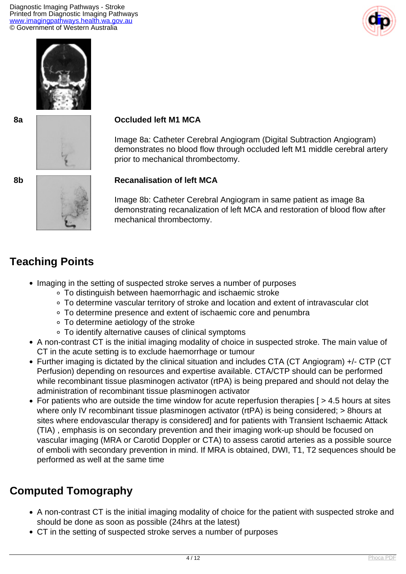Diagnostic Imaging Pathways - Stroke Printed from Diagnostic Imaging Pathways [www.imagingpathways.health.wa.gov.au](http://www.imagingpathways.health.wa.gov.au/) © Government of Western Australia







#### **8a Occluded left M1 MCA**

Image 8a: Catheter Cerebral Angiogram (Digital Subtraction Angiogram) demonstrates no blood flow through occluded left M1 middle cerebral artery prior to mechanical thrombectomy.

### **8b Recanalisation of left MCA**

Image 8b: Catheter Cerebral Angiogram in same patient as image 8a demonstrating recanalization of left MCA and restoration of blood flow after mechanical thrombectomy.

# **Teaching Points**

- Imaging in the setting of suspected stroke serves a number of purposes
	- To distinguish between haemorrhagic and ischaemic stroke
	- To determine vascular territory of stroke and location and extent of intravascular clot
	- To determine presence and extent of ischaemic core and penumbra
	- To determine aetiology of the stroke
	- To identify alternative causes of clinical symptoms
- A non-contrast CT is the initial imaging modality of choice in suspected stroke. The main value of CT in the acute setting is to exclude haemorrhage or tumour
- Further imaging is dictated by the clinical situation and includes CTA (CT Angiogram) +/- CTP (CT Perfusion) depending on resources and expertise available. CTA/CTP should can be performed while recombinant tissue plasminogen activator (rtPA) is being prepared and should not delay the administration of recombinant tissue plasminogen activator
- For patients who are outside the time window for acute reperfusion therapies [ > 4.5 hours at sites where only IV recombinant tissue plasminogen activator (rtPA) is being considered; > 8hours at sites where endovascular therapy is considered] and for patients with Transient Ischaemic Attack (TIA) , emphasis is on secondary prevention and their imaging work-up should be focused on vascular imaging (MRA or Carotid Doppler or CTA) to assess carotid arteries as a possible source of emboli with secondary prevention in mind. If MRA is obtained, DWI, T1, T2 sequences should be performed as well at the same time

# **Computed Tomography**

- A non-contrast CT is the initial imaging modality of choice for the patient with suspected stroke and should be done as soon as possible (24hrs at the latest)
- CT in the setting of suspected stroke serves a number of purposes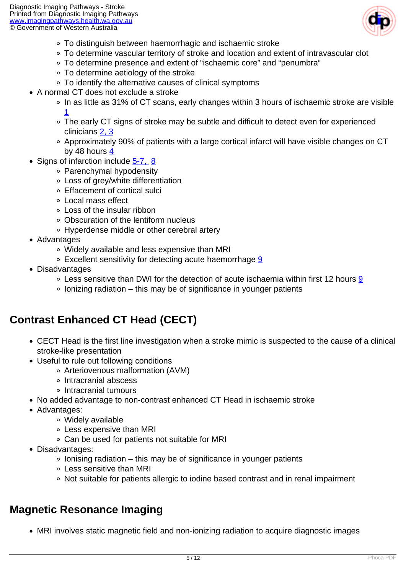

- To distinguish between haemorrhagic and ischaemic stroke
- To determine vascular territory of stroke and location and extent of intravascular clot
- To determine presence and extent of "ischaemic core" and "penumbra"
- To determine aetiology of the stroke
- To identify the alternative causes of clinical symptoms
- A normal CT does not exclude a stroke
	- In as little as 31% of CT scans, early changes within 3 hours of ischaemic stroke are visible [1](index.php/imaging-pathways/neurological/stroke?tab=References#1)
	- The early CT signs of stroke may be subtle and difficult to detect even for experienced clinicians [2, 3](index.php/imaging-pathways/neurological/stroke?tab=References#2)
	- Approximately 90% of patients with a large cortical infarct will have visible changes on CT by 48 hours [4](index.php/imaging-pathways/neurological/stroke?tab=References#4)
- Signs of infarction include [5-7,](index.php/imaging-pathways/neurological/stroke?tab=References#5) [8](index.php/imaging-pathways/neurological/stroke?tab=References#8)
	- Parenchymal hypodensity
	- Loss of grey/white differentiation
	- Effacement of cortical sulci
	- Local mass effect
	- Loss of the insular ribbon
	- Obscuration of the lentiform nucleus
	- Hyperdense middle or other cerebral artery
- Advantages
	- Widely available and less expensive than MRI
	- Excellent sensitivity for detecting acute haemorrhage [9](index.php/imaging-pathways/neurological/stroke?tab=References#9)
- Disadvantages
	- $\circ$  Less sensitive than DWI for the detection of acute ischaemia within first 12 hours [9](index.php/imaging-pathways/neurological/stroke?tab=References#9)
	- $\circ$  lonizing radiation this may be of significance in younger patients

# **Contrast Enhanced CT Head (CECT)**

- CECT Head is the first line investigation when a stroke mimic is suspected to the cause of a clinical stroke-like presentation
- Useful to rule out following conditions
	- Arteriovenous malformation (AVM)
	- Intracranial abscess
	- Intracranial tumours
- No added advantage to non-contrast enhanced CT Head in ischaemic stroke
- Advantages:
	- Widely available
	- Less expensive than MRI
	- Can be used for patients not suitable for MRI
- Disadvantages:
	- $\circ$  lonising radiation this may be of significance in younger patients
	- Less sensitive than MRI
	- Not suitable for patients allergic to iodine based contrast and in renal impairment

## **Magnetic Resonance Imaging**

MRI involves static magnetic field and non-ionizing radiation to acquire diagnostic images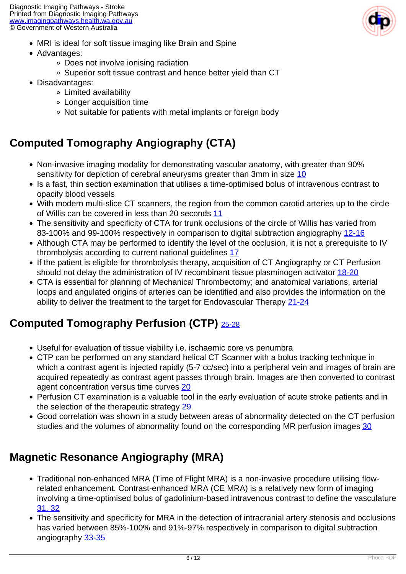- MRI is ideal for soft tissue imaging like Brain and Spine
- Advantages:
	- Does not involve ionising radiation
	- Superior soft tissue contrast and hence better yield than CT
- Disadvantages:
	- Limited availability
	- Longer acquisition time
	- Not suitable for patients with metal implants or foreign body

# **Computed Tomography Angiography (CTA)**

- Non-invasive imaging modality for demonstrating vascular anatomy, with greater than 90% sensitivity for depiction of cerebral aneurysms greater than 3mm in size [10](index.php/imaging-pathways/neurological/stroke?tab=References#10)
- Is a fast, thin section examination that utilises a time-optimised bolus of intravenous contrast to opacify blood vessels
- With modern multi-slice CT scanners, the region from the common carotid arteries up to the circle of Willis can be covered in less than 20 seconds [11](index.php/imaging-pathways/neurological/stroke?tab=References#11)
- The sensitivity and specificity of CTA for trunk occlusions of the circle of Willis has varied from 83-100% and 99-100% respectively in comparison to digital subtraction angiography [12-16](index.php/imaging-pathways/neurological/stroke?tab=References#12)
- Although CTA may be performed to identify the level of the occlusion, it is not a prerequisite to IV thrombolysis according to current national guidelines [17](index.php/imaging-pathways/neurological/stroke?tab=References#17)
- If the patient is eligible for thrombolysis therapy, acquisition of CT Angiography or CT Perfusion should not delay the administration of IV recombinant tissue plasminogen activator [18-20](index.php/imaging-pathways/neurological/stroke?tab=References#18)
- CTA is essential for planning of Mechanical Thrombectomy; and anatomical variations, arterial loops and angulated origins of arteries can be identified and also provides the information on the ability to deliver the treatment to the target for Endovascular Therapy [21-24](index.php/imaging-pathways/neurological/stroke?tab=References#21)

# **Computed Tomography Perfusion (CTP)** [25-28](index.php/imaging-pathways/neurological/stroke?tab=References#25)

- Useful for evaluation of tissue viability i.e. ischaemic core vs penumbra
- CTP can be performed on any standard helical CT Scanner with a bolus tracking technique in which a contrast agent is injected rapidly (5-7 cc/sec) into a peripheral vein and images of brain are acquired repeatedly as contrast agent passes through brain. Images are then converted to contrast agent concentration versus time curves [20](index.php/imaging-pathways/neurological/stroke?tab=References#20)
- Perfusion CT examination is a valuable tool in the early evaluation of acute stroke patients and in the selection of the therapeutic strategy [29](index.php/imaging-pathways/neurological/stroke?tab=References#29)
- Good correlation was shown in a study between areas of abnormality detected on the CT perfusion studies and the volumes of abnormality found on the corresponding MR perfusion images [30](index.php/imaging-pathways/neurological/stroke?tab=References#30)

# **Magnetic Resonance Angiography (MRA)**

- Traditional non-enhanced MRA (Time of Flight MRA) is a non-invasive procedure utilising flowrelated enhancement. Contrast-enhanced MRA (CE MRA) is a relatively new form of imaging involving a time-optimised bolus of gadolinium-based intravenous contrast to define the vasculature [31, 32](index.php/imaging-pathways/neurological/stroke?tab=References#31)
- The sensitivity and specificity for MRA in the detection of intracranial artery stenosis and occlusions has varied between 85%-100% and 91%-97% respectively in comparison to digital subtraction angiography [33-35](index.php/imaging-pathways/neurological/stroke?tab=References#33)

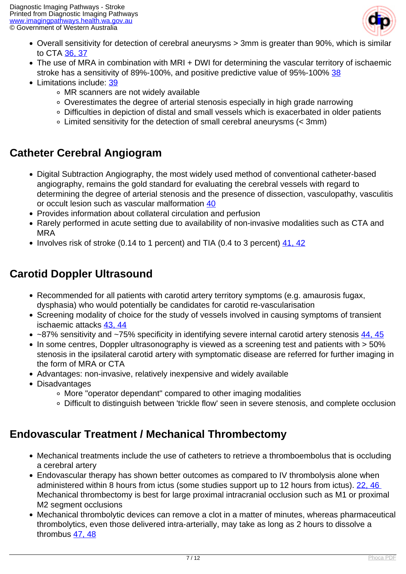

- Overall sensitivity for detection of cerebral aneurysms > 3mm is greater than 90%, which is similar to CTA [36, 37](index.php/imaging-pathways/neurological/stroke?tab=References#36)
- The use of MRA in combination with MRI + DWI for determining the vascular territory of ischaemic stroke has a sensitivity of 89%-100%, and positive predictive value of 95%-100% [38](index.php/imaging-pathways/neurological/stroke?tab=References#38)
- Limitations include: [39](index.php/imaging-pathways/neurological/stroke?tab=References#39)
	- MR scanners are not widely available
	- Overestimates the degree of arterial stenosis especially in high grade narrowing
	- Difficulties in depiction of distal and small vessels which is exacerbated in older patients
	- Limited sensitivity for the detection of small cerebral aneurysms (< 3mm)

# **Catheter Cerebral Angiogram**

- Digital Subtraction Angiography, the most widely used method of conventional catheter-based angiography, remains the gold standard for evaluating the cerebral vessels with regard to determining the degree of arterial stenosis and the presence of dissection, vasculopathy, vasculitis or occult lesion such as vascular malformation [40](index.php/imaging-pathways/neurological/stroke?tab=References#40)
- Provides information about collateral circulation and perfusion
- Rarely performed in acute setting due to availability of non-invasive modalities such as CTA and MRA
- $\bullet$  Involves risk of stroke (0.14 to 1 percent) and TIA (0.4 to 3 percent) [41, 42](index.php/imaging-pathways/neurological/stroke?tab=References#41)

# **Carotid Doppler Ultrasound**

- Recommended for all patients with carotid artery territory symptoms (e.g. amaurosis fugax, dysphasia) who would potentially be candidates for carotid re-vascularisation
- Screening modality of choice for the study of vessels involved in causing symptoms of transient ischaemic attacks [43, 44](index.php/imaging-pathways/neurological/stroke?tab=References#43)
- $\sim$ 87% sensitivity and  $\sim$ 75% specificity in identifying severe internal carotid artery stenosis [44, 45](index.php/imaging-pathways/neurological/stroke?tab=References#44)
- In some centres, Doppler ultrasonography is viewed as a screening test and patients with > 50% stenosis in the ipsilateral carotid artery with symptomatic disease are referred for further imaging in the form of MRA or CTA
- Advantages: non-invasive, relatively inexpensive and widely available
- Disadvantages
	- More "operator dependant" compared to other imaging modalities
	- Difficult to distinguish between 'trickle flow' seen in severe stenosis, and complete occlusion

# **Endovascular Treatment / Mechanical Thrombectomy**

- Mechanical treatments include the use of catheters to retrieve a thromboembolus that is occluding a cerebral artery
- Endovascular therapy has shown better outcomes as compared to IV thrombolysis alone when administered within 8 hours from ictus (some studies support up to 12 hours from ictus). [22,](index.php/imaging-pathways/neurological/stroke?tab=References#22) [46](index.php/imaging-pathways/neurological/stroke?tab=References#46)  Mechanical thrombectomy is best for large proximal intracranial occlusion such as M1 or proximal M<sub>2</sub> segment occlusions
- Mechanical thrombolytic devices can remove a clot in a matter of minutes, whereas pharmaceutical thrombolytics, even those delivered intra-arterially, may take as long as 2 hours to dissolve a thrombus [47, 48](index.php/imaging-pathways/neurological/stroke?tab=References#47)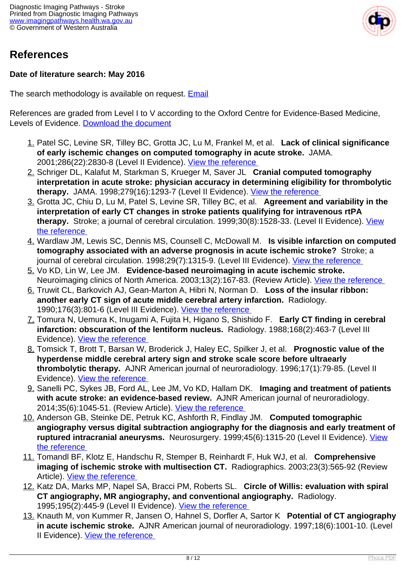

# **References**

### **Date of literature search: May 2016**

The search methodology is available on request. [Email](index.php/contact-us)

References are graded from Level I to V according to the Oxford Centre for Evidence-Based Medicine, Levels of Evidence. [Download the document](http://www.cebm.net/wp-content/uploads/2014/06/CEBM-Levels-of-Evidence-2.1.pdf)

- 1. Patel SC, Levine SR, Tilley BC, Grotta JC, Lu M, Frankel M, et al. **Lack of clinical significance of early ischemic changes on computed tomography in acute stroke.** JAMA. 2001;286(22):2830-8 (Level II Evidence). [View the reference](https://www.ncbi.nlm.nih.gov/pubmed/11735758 )
- 2. Schriger DL, Kalafut M, Starkman S, Krueger M, Saver JL **Cranial computed tomography interpretation in acute stroke: physician accuracy in determining eligibility for thrombolytic therapy.** JAMA. 1998;279(16):1293-7 (Level II Evidence). [View the reference](https://www.ncbi.nlm.nih.gov/pubmed/9565011 )
- 3. Grotta JC, Chiu D, Lu M, Patel S, Levine SR, Tilley BC, et al. **Agreement and variability in the interpretation of early CT changes in stroke patients qualifying for intravenous rtPA therapy.** Stroke; a journal of cerebral circulation. 1999;30(8):1528-33. (Level II Evidence). [View](https://www.ncbi.nlm.nih.gov/pubmed/10436095 ) [the reference](https://www.ncbi.nlm.nih.gov/pubmed/10436095 )
- 4. Wardlaw JM, Lewis SC, Dennis MS, Counsell C, McDowall M. **Is visible infarction on computed tomography associated with an adverse prognosis in acute ischemic stroke?** Stroke; a journal of cerebral circulation. 1998;29(7):1315-9. (Level III Evidence). View the reference
- 5. Vo KD, Lin W, Lee JM. **Evidence-based neuroimaging in acute ischemic stroke.**  Neuroimaging clinics of North America. 2003;13(2):167-83. (Review Article). View the reference
- 6. Truwit CL, Barkovich AJ, Gean-Marton A, Hibri N, Norman D. **Loss of the insular ribbon: another early CT sign of acute middle cerebral artery infarction.** Radiology. 1990;176(3):801-6 (Level III Evidence). [View the reference](https://www.ncbi.nlm.nih.gov/pubmed/2389039 )
- 7. Tomura N, Uemura K, Inugami A, Fujita H, Higano S, Shishido F. **Early CT finding in cerebral infarction: obscuration of the lentiform nucleus.** Radiology. 1988;168(2):463-7 (Level III Evidence). [View the reference](https://www.ncbi.nlm.nih.gov/pubmed/3393665 )
- 8. Tomsick T, Brott T, Barsan W, Broderick J, Haley EC, Spilker J, et al. **Prognostic value of the hyperdense middle cerebral artery sign and stroke scale score before ultraearly thrombolytic therapy.** AJNR American journal of neuroradiology. 1996;17(1):79-85. (Level II Evidence). [View the reference](http://www.ncbi.nlm.nih.gov/pubmed/8770253 )
- 9. Sanelli PC, Sykes JB, Ford AL, Lee JM, Vo KD, Hallam DK. **Imaging and treatment of patients with acute stroke: an evidence-based review.** AJNR American journal of neuroradiology. 2014;35(6):1045-51. (Review Article). [View the reference](http://www.ncbi.nlm.nih.gov/pubmed/23598836 )
- 10. Anderson GB, Steinke DE, Petruk KC, Ashforth R, Findlay JM. **Computed tomographic angiography versus digital subtraction angiography for the diagnosis and early treatment of ruptured intracranial aneurysms.** Neurosurgery. 1999;45(6):1315-20 (Level II Evidence). [View](https://www.ncbi.nlm.nih.gov/pubmed/10598698) [the reference](https://www.ncbi.nlm.nih.gov/pubmed/10598698)
- 11. Tomandl BF, Klotz E, Handschu R, Stemper B, Reinhardt F, Huk WJ, et al. **Comprehensive imaging of ischemic stroke with multisection CT.** Radiographics. 2003;23(3):565-92 (Review Article). [View the reference](https://www.ncbi.nlm.nih.gov/pubmed/12740462 )
- 12. Katz DA, Marks MP, Napel SA, Bracci PM, Roberts SL. **Circle of Willis: evaluation with spiral CT angiography, MR angiography, and conventional angiography.** Radiology. 1995;195(2):445-9 (Level II Evidence). View the reference
- 13. Knauth M, von Kummer R, Jansen O, Hahnel S, Dorfler A, Sartor K **Potential of CT angiography in acute ischemic stroke.** AJNR American journal of neuroradiology. 1997;18(6):1001-10. (Level II Evidence). [View the reference](https://www.ncbi.nlm.nih.gov/pubmed/9194425 )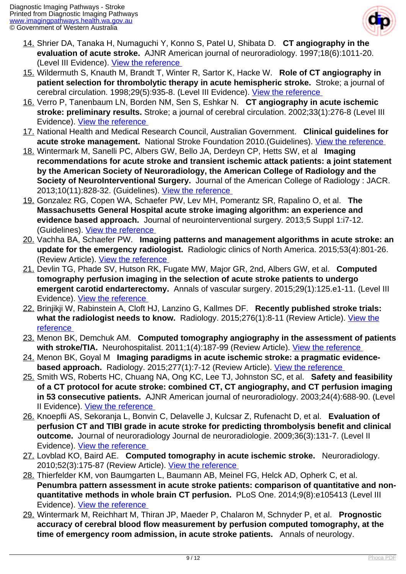

- 14. Shrier DA, Tanaka H, Numaguchi Y, Konno S, Patel U, Shibata D. **CT angiography in the evaluation of acute stroke.** AJNR American journal of neuroradiology. 1997;18(6):1011-20. (Level III Evidence). View the reference
- 15. Wildermuth S, Knauth M, Brandt T, Winter R, Sartor K, Hacke W. **Role of CT angiography in patient selection for thrombolytic therapy in acute hemispheric stroke.** Stroke; a journal of cerebral circulation. 1998;29(5):935-8. (Level III Evidence). [View the reference](http://www.ncbi.nlm.nih.gov/pubmed/9596238 )
- 16. Verro P, Tanenbaum LN, Borden NM, Sen S, Eshkar N. **CT angiography in acute ischemic stroke: preliminary results.** Stroke; a journal of cerebral circulation. 2002;33(1):276-8 (Level III Evidence). [View the reference](http://www.ncbi.nlm.nih.gov/pubmed/11779922 )
- 17. National Health and Medical Research Council, Australian Government. **Clinical guidelines for acute stroke management.** National Stroke Foundation 2010.(Guidelines). [View the reference](https://informme.org.au/guidelines/clinical-guidelines-for-stroke-management-2010 )
- 18. Wintermark M, Sanelli PC, Albers GW, Bello JA, Derdeyn CP, Hetts SW, et al **Imaging recommendations for acute stroke and transient ischemic attack patients: a joint statement by the American Society of Neuroradiology, the American College of Radiology and the Society of NeuroInterventional Surgery.** Journal of the American College of Radiology : JACR. 2013;10(11):828-32. (Guidelines). [View the reference](https://www.ncbi.nlm.nih.gov/pubmed/23907247 )
- 19. Gonzalez RG, Copen WA, Schaefer PW, Lev MH, Pomerantz SR, Rapalino O, et al. **The Massachusetts General Hospital acute stroke imaging algorithm: an experience and evidence based approach.** Journal of neurointerventional surgery. 2013;5 Suppl 1:i7-12. (Guidelines). [View the reference](https://www.ncbi.nlm.nih.gov/pmc/articles/PMC3623036 )
- 20. Vachha BA, Schaefer PW. **Imaging patterns and management algorithms in acute stroke: an update for the emergency radiologist.** Radiologic clinics of North America. 2015;53(4):801-26. (Review Article). [View the reference](https://www.ncbi.nlm.nih.gov/pubmed/26046512)
- 21. Devlin TG, Phade SV, Hutson RK, Fugate MW, Major GR, 2nd, Albers GW, et al. **Computed tomography perfusion imaging in the selection of acute stroke patients to undergo emergent carotid endarterectomy.** Annals of vascular surgery. 2015;29(1):125.e1-11. (Level III Evidence). [View the reference](https://www.ncbi.nlm.nih.gov/pubmed/25194548 )
- 22. Brinjikji W, Rabinstein A, Cloft HJ, Lanzino G, Kallmes DF. **Recently published stroke trials: what the radiologist needs to know.** Radiology. 2015;276(1):8-11 (Review Article). [View the](https://www.ncbi.nlm.nih.gov/pubmed/26101918 ) [reference](https://www.ncbi.nlm.nih.gov/pubmed/26101918 )
- 23. Menon BK, Demchuk AM. **Computed tomography angiography in the assessment of patients with stroke/TIA.** Neurohospitalist. 2011;1(4):187-99 (Review Article). [View the reference](http://www.ncbi.nlm.nih.gov/pubmed/23983855 )
- 24. Menon BK, Goyal M **Imaging paradigms in acute ischemic stroke: a pragmatic evidencebased approach.** Radiology. 2015;277(1):7-12 (Review Article). View the reference
- 25. Smith WS, Roberts HC, Chuang NA, Ong KC, Lee TJ, Johnston SC, et al. **Safety and feasibility of a CT protocol for acute stroke: combined CT, CT angiography, and CT perfusion imaging in 53 consecutive patients.** AJNR American journal of neuroradiology. 2003;24(4):688-90. (Level II Evidence). [View the reference](https://www.ncbi.nlm.nih.gov/pubmed/12695204 )
- 26. Knoepfli AS, Sekoranja L, Bonvin C, Delavelle J, Kulcsar Z, Rufenacht D, et al. **Evaluation of perfusion CT and TIBI grade in acute stroke for predicting thrombolysis benefit and clinical outcome.** Journal of neuroradiology Journal de neuroradiologie. 2009;36(3):131-7. (Level II Evidence). [View the reference](https://www.ncbi.nlm.nih.gov/pubmed/19062093 )
- 27. Lovblad KO, Baird AE. **Computed tomography in acute ischemic stroke.** Neuroradiology. 2010;52(3):175-87 (Review Article). [View the reference](https://www.ncbi.nlm.nih.gov/pubmed/19953234)
- 28. Thierfelder KM, von Baumgarten L, Baumann AB, Meinel FG, Helck AD, Opherk C, et al. **Penumbra pattern assessment in acute stroke patients: comparison of quantitative and nonquantitative methods in whole brain CT perfusion.** PLoS One. 2014;9(8):e105413 (Level III Evidence). [View the reference](https://www.ncbi.nlm.nih.gov/pubmed/25144396 )
- 29. Wintermark M, Reichhart M, Thiran JP, Maeder P, Chalaron M, Schnyder P, et al. **Prognostic accuracy of cerebral blood flow measurement by perfusion computed tomography, at the time of emergency room admission, in acute stroke patients.** Annals of neurology.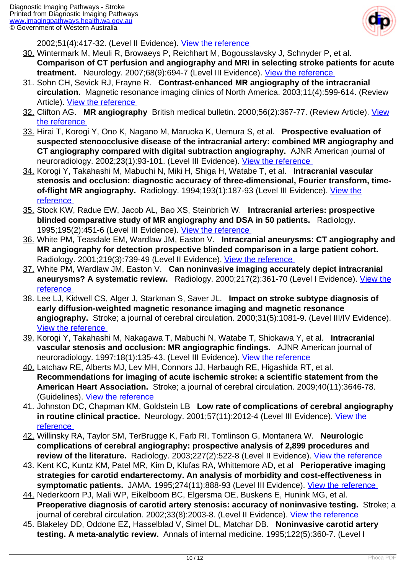

2002;51(4):417-32. (Level II Evidence). [View the reference](https://www.ncbi.nlm.nih.gov/pubmed/11921048 ) 

- 30. Wintermark M, Meuli R, Browaeys P, Reichhart M, Bogousslavsky J, Schnyder P, et al. **Comparison of CT perfusion and angiography and MRI in selecting stroke patients for acute treatment.** Neurology. 2007;68(9):694-7 (Level III Evidence). [View the reference](https://www.ncbi.nlm.nih.gov/pubmed/17325279 )
- 31. Sohn CH, Sevick RJ, Frayne R. **Contrast-enhanced MR angiography of the intracranial circulation.** Magnetic resonance imaging clinics of North America. 2003;11(4):599-614. (Review Article). View the reference
- 32. Clifton AG. **MR angiography** British medical bulletin. 2000;56(2):367-77. (Review Article). [View](https://academic.oup.com/bmb/article/56/2//303300/MR-angiography ) [the reference](https://academic.oup.com/bmb/article/56/2//303300/MR-angiography )
- 33. Hirai T, Korogi Y, Ono K, Nagano M, Maruoka K, Uemura S, et al. **Prospective evaluation of suspected stenoocclusive disease of the intracranial artery: combined MR angiography and CT angiography compared with digital subtraction angiography.** AJNR American journal of neuroradiology. 2002;23(1):93-101. (Level III Evidence). [View the reference](https://www.ncbi.nlm.nih.gov/pubmed/11827880 )
- 34. Korogi Y, Takahashi M, Mabuchi N, Miki H, Shiga H, Watabe T, et al. **Intracranial vascular stenosis and occlusion: diagnostic accuracy of three-dimensional, Fourier transform, timeof-flight MR angiography.** Radiology. 1994;193(1):187-93 (Level III Evidence). [View the](https://www.ncbi.nlm.nih.gov/pubmed/8090890 ) [reference](https://www.ncbi.nlm.nih.gov/pubmed/8090890 )
- 35. Stock KW, Radue EW, Jacob AL, Bao XS, Steinbrich W. **Intracranial arteries: prospective blinded comparative study of MR angiography and DSA in 50 patients.** Radiology. 1995:195(2):451-6 (Level III Evidence). View the reference
- 36. White PM, Teasdale EM, Wardlaw JM, Easton V. **Intracranial aneurysms: CT angiography and MR angiography for detection prospective blinded comparison in a large patient cohort.**  Radiology. 2001;219(3):739-49 (Level II Evidence). [View the reference](http://www.ncbi.nlm.nih.gov/pubmed/11376263 )
- 37. White PM, Wardlaw JM, Easton V. **Can noninvasive imaging accurately depict intracranial aneurysms? A systematic review.** Radiology. 2000;217(2):361-70 (Level I Evidence). [View the](http://www.ncbi.nlm.nih.gov/pubmed/11058629 ) [reference](http://www.ncbi.nlm.nih.gov/pubmed/11058629 )
- 38. Lee LJ, Kidwell CS, Alger J, Starkman S, Saver JL. **Impact on stroke subtype diagnosis of early diffusion-weighted magnetic resonance imaging and magnetic resonance angiography.** Stroke; a journal of cerebral circulation. 2000;31(5):1081-9. (Level III/IV Evidence). [View the reference](https://www.ncbi.nlm.nih.gov/pubmed/10797169 )
- 39. Korogi Y, Takahashi M, Nakagawa T, Mabuchi N, Watabe T, Shiokawa Y, et al. **Intracranial vascular stenosis and occlusion: MR angiographic findings.** AJNR American journal of neuroradiology. 1997;18(1):135-43. (Level III Evidence). View the reference
- 40. Latchaw RE, Alberts MJ, Lev MH, Connors JJ, Harbaugh RE, Higashida RT, et al. **Recommendations for imaging of acute ischemic stroke: a scientific statement from the American Heart Association.** Stroke; a journal of cerebral circulation. 2009;40(11):3646-78. (Guidelines). [View the reference](https://www.ncbi.nlm.nih.gov/pubmed/19797189 )
- 41. Johnston DC, Chapman KM, Goldstein LB **Low rate of complications of cerebral angiography in routine clinical practice.** Neurology. 2001;57(11):2012-4 (Level III Evidence). [View the](http://www.ncbi.nlm.nih.gov/pubmed/11739818 ) [reference](http://www.ncbi.nlm.nih.gov/pubmed/11739818 )
- 42. Willinsky RA, Taylor SM, TerBrugge K, Farb RI, Tomlinson G, Montanera W. **Neurologic complications of cerebral angiography: prospective analysis of 2,899 procedures and review of the literature.** Radiology. 2003;227(2):522-8 (Level II Evidence). View the reference
- 43. Kent KC, Kuntz KM, Patel MR, Kim D, Klufas RA, Whittemore AD, et al **Perioperative imaging strategies for carotid endarterectomy. An analysis of morbidity and cost-effectiveness in symptomatic patients.** JAMA. 1995;274(11):888-93 (Level III Evidence). [View the reference](https://www.ncbi.nlm.nih.gov/pubmed/7674503 )
- 44. Nederkoorn PJ, Mali WP, Eikelboom BC, Elgersma OE, Buskens E, Hunink MG, et al. **Preoperative diagnosis of carotid artery stenosis: accuracy of noninvasive testing.** Stroke; a journal of cerebral circulation. 2002;33(8):2003-8. (Level II Evidence). View the reference
- 45. Blakeley DD, Oddone EZ, Hasselblad V, Simel DL, Matchar DB. **Noninvasive carotid artery testing. A meta-analytic review.** Annals of internal medicine. 1995;122(5):360-7. (Level I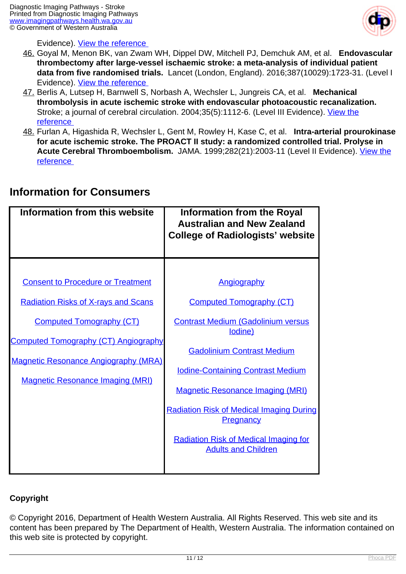

Evidence). [View the reference](http://www.ncbi.nlm.nih.gov/pubmed/7847648 ) 

- 46. Goyal M, Menon BK, van Zwam WH, Dippel DW, Mitchell PJ, Demchuk AM, et al. **Endovascular thrombectomy after large-vessel ischaemic stroke: a meta-analysis of individual patient data from five randomised trials.** Lancet (London, England). 2016;387(10029):1723-31. (Level I Evidence). [View the reference](https://www.ncbi.nlm.nih.gov/pubmed/26898852 )
- 47. Berlis A, Lutsep H, Barnwell S, Norbash A, Wechsler L, Jungreis CA, et al. **Mechanical thrombolysis in acute ischemic stroke with endovascular photoacoustic recanalization.**  Stroke; a journal of cerebral circulation. 2004;35(5):1112-6. (Level III Evidence). [View the](http://www.ncbi.nlm.nih.gov/pubmed/15017011 ) [reference](http://www.ncbi.nlm.nih.gov/pubmed/15017011 )
- 48. Furlan A, Higashida R, Wechsler L, Gent M, Rowley H, Kase C, et al. **Intra-arterial prourokinase for acute ischemic stroke. The PROACT II study: a randomized controlled trial. Prolyse in Acute Cerebral Thromboembolism.** JAMA. 1999;282(21):2003-11 (Level II Evidence). [View the](http://www.ncbi.nlm.nih.gov/pubmed/10591382 ) [reference](http://www.ncbi.nlm.nih.gov/pubmed/10591382 )

# **Information from this website Information from the Royal**

**Information for Consumers**

|                                                                                                                                                                             | <b>Australian and New Zealand</b><br><b>College of Radiologists' website</b> |
|-----------------------------------------------------------------------------------------------------------------------------------------------------------------------------|------------------------------------------------------------------------------|
|                                                                                                                                                                             |                                                                              |
| <b>Consent to Procedure or Treatment</b>                                                                                                                                    | <b>Angiography</b>                                                           |
| <b>Radiation Risks of X-rays and Scans</b><br><b>Computed Tomography (CT)</b><br><b>Computed Tomography (CT) Angiography</b><br><b>Magnetic Resonance Angiography (MRA)</b> | <b>Computed Tomography (CT)</b>                                              |
|                                                                                                                                                                             | <b>Contrast Medium (Gadolinium versus</b><br>lodine)                         |
|                                                                                                                                                                             | <b>Gadolinium Contrast Medium</b>                                            |
| <b>Magnetic Resonance Imaging (MRI)</b>                                                                                                                                     | <b>Iodine-Containing Contrast Medium</b>                                     |
|                                                                                                                                                                             | <b>Magnetic Resonance Imaging (MRI)</b>                                      |
|                                                                                                                                                                             | <b>Radiation Risk of Medical Imaging During</b><br><b>Pregnancy</b>          |
|                                                                                                                                                                             | <b>Radiation Risk of Medical Imaging for</b><br><b>Adults and Children</b>   |
|                                                                                                                                                                             |                                                                              |

## **Copyright**

© Copyright 2016, Department of Health Western Australia. All Rights Reserved. This web site and its content has been prepared by The Department of Health, Western Australia. The information contained on this web site is protected by copyright.